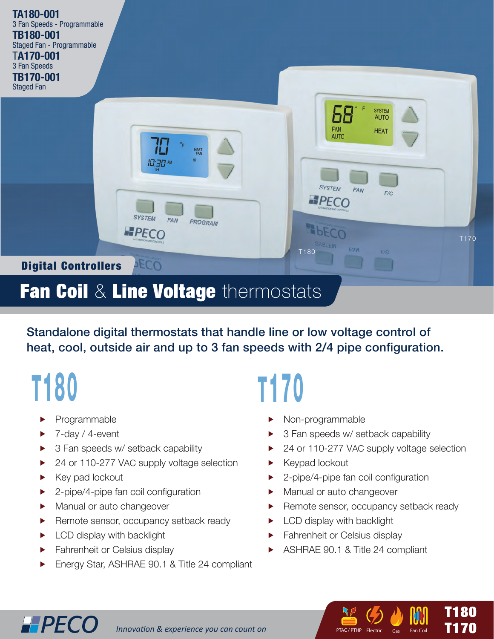

### Fan Coil & Line Voltage thermostats

Standalone digital thermostats that handle line or low voltage control of heat, cool, outside air and up to 3 fan speeds with 2/4 pipe configuration.

# T180

- Programmable
- 7-day / 4-event
- $\triangleright$  3 Fan speeds w/ setback capability
- ▶ 24 or 110-277 VAC supply voltage selection
- $\blacktriangleright$  Key pad lockout

**HPECO** 

- $\blacktriangleright$  2-pipe/4-pipe fan coil configuration
- $\blacktriangleright$  Manual or auto changeover
- $\blacktriangleright$  Remote sensor, occupancy setback ready
- $\blacktriangleright$  LCD display with backlight
- $\blacktriangleright$  Fahrenheit or Celsius display
- f Energy Star, ASHRAE 90.1 & Title 24 compliant

## T170

- Non-programmable
- $\triangleright$  3 Fan speeds w/ setback capability
- ▶ 24 or 110-277 VAC supply voltage selection
- $\blacktriangleright$  Keypad lockout
- $\blacktriangleright$  2-pipe/4-pipe fan coil configuration
- $\blacktriangleright$  Manual or auto changeover
- $\blacktriangleright$  Remote sensor, occupancy setback ready

*Ti* (1) T<sub>1</sub><br>T<sub>1</sub>253 - T<sub>125</sub>

PTAC / PTHP Electric Gas Fan Coil

 $T180$ T170

- LCD display with backlight
- **Fahrenheit or Celsius display**
- f ASHRAE 90.1 & Title 24 compliant